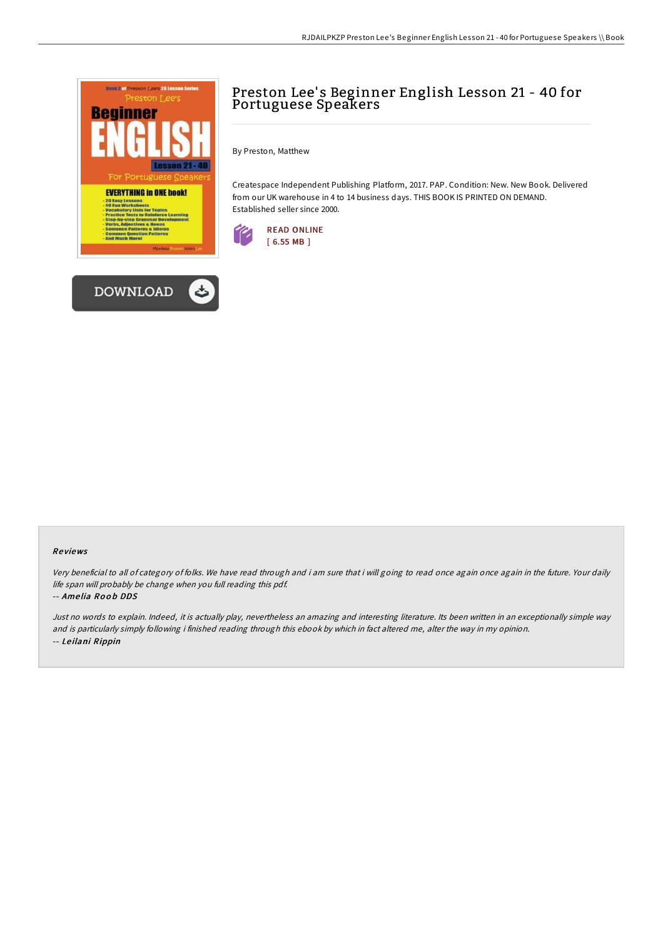



By Preston, Matthew

Createspace Independent Publishing Platform, 2017. PAP. Condition: New. New Book. Delivered from our UK warehouse in 4 to 14 business days. THIS BOOK IS PRINTED ON DEMAND. Established seller since 2000.



## Re views

Very beneficial to all of category of folks. We have read through and i am sure that i will going to read once again once again in the future. Your daily life span will probably be change when you full reading this pdf.

-- Amelia Roob DDS

Just no words to explain. Indeed, it is actually play, nevertheless an amazing and interesting literature. Its been written in an exceptionally simple way and is particularly simply following i finished reading through this ebook by which in fact altered me, alter the way in my opinion. -- Le ilani Rippin